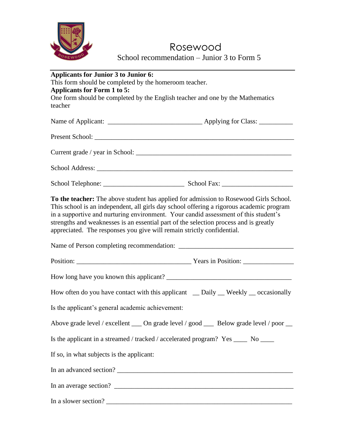

## Rosewood School recommendation – Junior 3 to Form 5

| <b>Applicants for Junior 3 to Junior 6:</b>                                                                                                                                                                                                                                                                                                                                                                                                 |
|---------------------------------------------------------------------------------------------------------------------------------------------------------------------------------------------------------------------------------------------------------------------------------------------------------------------------------------------------------------------------------------------------------------------------------------------|
| This form should be completed by the homeroom teacher.                                                                                                                                                                                                                                                                                                                                                                                      |
| Applicants for Form 1 to 5:                                                                                                                                                                                                                                                                                                                                                                                                                 |
| One form should be completed by the English teacher and one by the Mathematics<br>teacher                                                                                                                                                                                                                                                                                                                                                   |
|                                                                                                                                                                                                                                                                                                                                                                                                                                             |
|                                                                                                                                                                                                                                                                                                                                                                                                                                             |
|                                                                                                                                                                                                                                                                                                                                                                                                                                             |
|                                                                                                                                                                                                                                                                                                                                                                                                                                             |
|                                                                                                                                                                                                                                                                                                                                                                                                                                             |
| To the teacher: The above student has applied for admission to Rosewood Girls School.<br>This school is an independent, all girls day school offering a rigorous academic program<br>in a supportive and nurturing environment. Your candid assessment of this student's<br>strengths and weaknesses is an essential part of the selection process and is greatly<br>appreciated. The responses you give will remain strictly confidential. |
|                                                                                                                                                                                                                                                                                                                                                                                                                                             |
|                                                                                                                                                                                                                                                                                                                                                                                                                                             |
|                                                                                                                                                                                                                                                                                                                                                                                                                                             |
| How often do you have contact with this applicant _ Daily _ Weekly _ occasionally                                                                                                                                                                                                                                                                                                                                                           |
| Is the applicant's general academic achievement:                                                                                                                                                                                                                                                                                                                                                                                            |
| Above grade level / excellent ____ On grade level / good ____ Below grade level / poor __                                                                                                                                                                                                                                                                                                                                                   |
| Is the applicant in a streamed / tracked / accelerated program? Yes _____ No ____                                                                                                                                                                                                                                                                                                                                                           |
| If so, in what subjects is the applicant:                                                                                                                                                                                                                                                                                                                                                                                                   |
|                                                                                                                                                                                                                                                                                                                                                                                                                                             |
|                                                                                                                                                                                                                                                                                                                                                                                                                                             |
|                                                                                                                                                                                                                                                                                                                                                                                                                                             |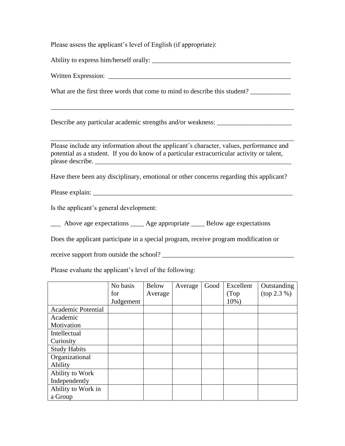Please assess the applicant's level of English (if appropriate):

Ability to express him/herself orally: \_\_\_\_\_\_\_\_\_\_\_\_\_\_\_\_\_\_\_\_\_\_\_\_\_\_\_\_\_\_\_\_\_\_\_\_\_\_\_\_\_

Written Expression: \_\_\_\_\_\_\_\_\_\_\_\_\_\_\_\_\_\_\_\_\_\_\_\_\_\_\_\_\_\_\_\_\_\_\_\_\_\_\_\_\_\_\_\_\_\_\_\_\_\_\_\_\_\_

What are the first three words that come to mind to describe this student?

Describe any particular academic strengths and/or weakness: \_\_\_\_\_\_\_\_\_\_\_\_\_\_\_\_\_\_\_\_

Please include any information about the applicant's character, values, performance and potential as a student. If you do know of a particular extracurricular activity or talent, please describe.

\_\_\_\_\_\_\_\_\_\_\_\_\_\_\_\_\_\_\_\_\_\_\_\_\_\_\_\_\_\_\_\_\_\_\_\_\_\_\_\_\_\_\_\_\_\_\_\_\_\_\_\_\_\_\_\_\_\_\_\_\_\_\_\_\_\_\_\_\_\_\_\_

\_\_\_\_\_\_\_\_\_\_\_\_\_\_\_\_\_\_\_\_\_\_\_\_\_\_\_\_\_\_\_\_\_\_\_\_\_\_\_\_\_\_\_\_\_\_\_\_\_\_\_\_\_\_\_\_\_\_\_\_\_\_\_\_\_\_\_\_\_\_\_\_

Have there been any disciplinary, emotional or other concerns regarding this applicant?

Please explain: \_\_\_\_\_\_\_\_\_\_\_\_\_\_\_\_\_\_\_\_\_\_\_\_\_\_\_\_\_\_\_\_\_\_\_\_\_\_\_\_\_\_\_\_\_\_\_\_\_\_\_\_\_\_\_\_\_\_\_

Is the applicant's general development:

\_\_\_ Above age expectations \_\_\_\_ Age appropriate \_\_\_\_ Below age expectations

Does the applicant participate in a special program, receive program modification or

receive support from outside the school? \_\_\_\_\_\_\_\_\_\_\_\_\_\_\_\_\_\_\_\_\_\_\_\_\_\_\_\_\_\_\_\_\_\_\_\_\_\_\_

Please evaluate the applicant's level of the following:

|                           | No basis  | <b>Below</b> | Average | Good | Excellent | Outstanding |
|---------------------------|-----------|--------------|---------|------|-----------|-------------|
|                           | for       | Average      |         |      | (Top)     | (top 2.3 %) |
|                           | Judgement |              |         |      | 10%)      |             |
| <b>Academic Potential</b> |           |              |         |      |           |             |
| Academic                  |           |              |         |      |           |             |
| Motivation                |           |              |         |      |           |             |
| Intellectual              |           |              |         |      |           |             |
| Curiosity                 |           |              |         |      |           |             |
| <b>Study Habits</b>       |           |              |         |      |           |             |
| Organizational            |           |              |         |      |           |             |
| Ability                   |           |              |         |      |           |             |
| Ability to Work           |           |              |         |      |           |             |
| Independently             |           |              |         |      |           |             |
| Ability to Work in        |           |              |         |      |           |             |
| a Group                   |           |              |         |      |           |             |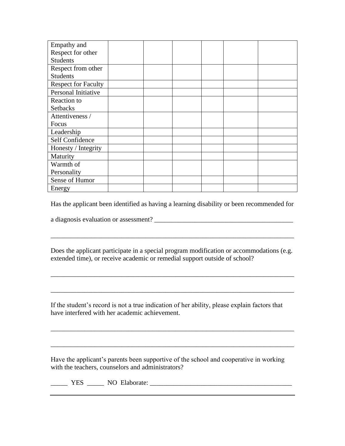| Empathy and                |  |  |  |
|----------------------------|--|--|--|
| Respect for other          |  |  |  |
| <b>Students</b>            |  |  |  |
| Respect from other         |  |  |  |
| <b>Students</b>            |  |  |  |
| <b>Respect for Faculty</b> |  |  |  |
| Personal Initiative        |  |  |  |
| Reaction to                |  |  |  |
| <b>Setbacks</b>            |  |  |  |
| Attentiveness /            |  |  |  |
| Focus                      |  |  |  |
| Leadership                 |  |  |  |
| Self Confidence            |  |  |  |
| Honesty / Integrity        |  |  |  |
| Maturity                   |  |  |  |
| Warmth of                  |  |  |  |
| Personality                |  |  |  |
| Sense of Humor             |  |  |  |
| Energy                     |  |  |  |

Has the applicant been identified as having a learning disability or been recommended for

a diagnosis evaluation or assessment? \_\_\_\_\_\_\_\_\_\_\_\_\_\_\_\_\_\_\_\_\_\_\_\_\_\_\_\_\_\_\_\_\_\_\_\_\_\_\_\_\_

Does the applicant participate in a special program modification or accommodations (e.g. extended time), or receive academic or remedial support outside of school?

\_\_\_\_\_\_\_\_\_\_\_\_\_\_\_\_\_\_\_\_\_\_\_\_\_\_\_\_\_\_\_\_\_\_\_\_\_\_\_\_\_\_\_\_\_\_\_\_\_\_\_\_\_\_\_\_\_\_\_\_\_\_\_\_\_\_\_\_\_\_\_\_

\_\_\_\_\_\_\_\_\_\_\_\_\_\_\_\_\_\_\_\_\_\_\_\_\_\_\_\_\_\_\_\_\_\_\_\_\_\_\_\_\_\_\_\_\_\_\_\_\_\_\_\_\_\_\_\_\_\_\_\_\_\_\_\_\_\_\_\_\_\_\_\_

\_\_\_\_\_\_\_\_\_\_\_\_\_\_\_\_\_\_\_\_\_\_\_\_\_\_\_\_\_\_\_\_\_\_\_\_\_\_\_\_\_\_\_\_\_\_\_\_\_\_\_\_\_\_\_\_\_\_\_\_\_\_\_\_\_\_\_\_\_\_\_\_

\_\_\_\_\_\_\_\_\_\_\_\_\_\_\_\_\_\_\_\_\_\_\_\_\_\_\_\_\_\_\_\_\_\_\_\_\_\_\_\_\_\_\_\_\_\_\_\_\_\_\_\_\_\_\_\_\_\_\_\_\_\_\_\_\_\_\_\_\_\_\_\_

If the student's record is not a true indication of her ability, please explain factors that have interfered with her academic achievement.

Have the applicant's parents been supportive of the school and cooperative in working with the teachers, counselors and administrators?

\_\_\_\_\_ YES \_\_\_\_\_ NO Elaborate: \_\_\_\_\_\_\_\_\_\_\_\_\_\_\_\_\_\_\_\_\_\_\_\_\_\_\_\_\_\_\_\_\_\_\_\_\_\_\_\_\_\_